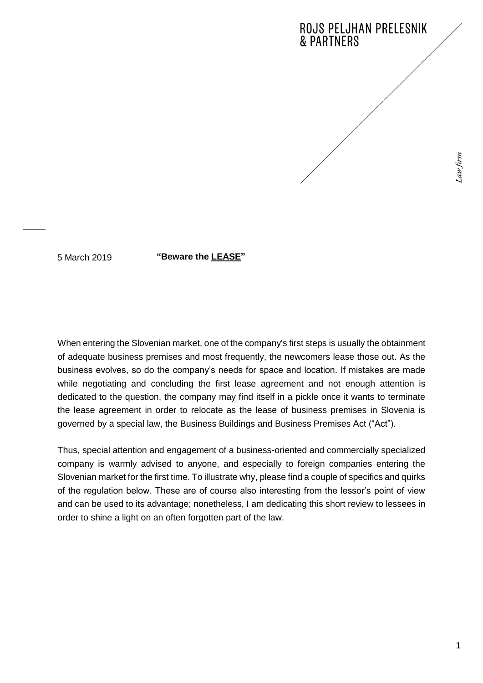

5 March 2019

**"Beware the LEASE"**

When entering the Slovenian market, one of the company's first steps is usually the obtainment of adequate business premises and most frequently, the newcomers lease those out. As the business evolves, so do the company's needs for space and location. If mistakes are made while negotiating and concluding the first lease agreement and not enough attention is dedicated to the question, the company may find itself in a pickle once it wants to terminate the lease agreement in order to relocate as the lease of business premises in Slovenia is governed by a special law, the Business Buildings and Business Premises Act ("Act").

Thus, special attention and engagement of a business-oriented and commercially specialized company is warmly advised to anyone, and especially to foreign companies entering the Slovenian market for the first time. To illustrate why, please find a couple of specifics and quirks of the regulation below. These are of course also interesting from the lessor's point of view and can be used to its advantage; nonetheless, I am dedicating this short review to lessees in order to shine a light on an often forgotten part of the law.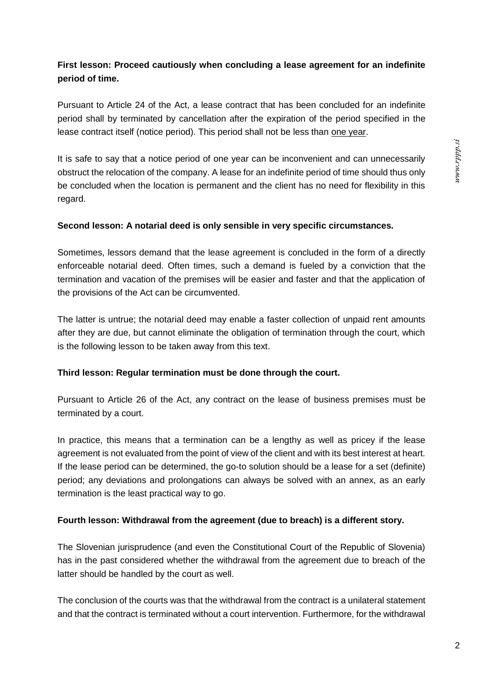# s.ddd.rmm

# **First lesson: Proceed cautiously when concluding a lease agreement for an indefinite period of time.**

Pursuant to Article 24 of the Act, a lease contract that has been concluded for an indefinite period shall by terminated by cancellation after the expiration of the period specified in the lease contract itself (notice period). This period shall not be less than one year.

It is safe to say that a notice period of one year can be inconvenient and can unnecessarily obstruct the relocation of the company. A lease for an indefinite period of time should thus only be concluded when the location is permanent and the client has no need for flexibility in this regard.

#### **Second lesson: A notarial deed is only sensible in very specific circumstances.**

Sometimes, lessors demand that the lease agreement is concluded in the form of a directly enforceable notarial deed. Often times, such a demand is fueled by a conviction that the termination and vacation of the premises will be easier and faster and that the application of the provisions of the Act can be circumvented.

The latter is untrue; the notarial deed may enable a faster collection of unpaid rent amounts after they are due, but cannot eliminate the obligation of termination through the court, which is the following lesson to be taken away from this text.

## **Third lesson: Regular termination must be done through the court.**

Pursuant to Article 26 of the Act, any contract on the lease of business premises must be terminated by a court.

In practice, this means that a termination can be a lengthy as well as pricey if the lease agreement is not evaluated from the point of view of the client and with its best interest at heart. If the lease period can be determined, the go-to solution should be a lease for a set (definite) period; any deviations and prolongations can always be solved with an annex, as an early termination is the least practical way to go.

## **Fourth lesson: Withdrawal from the agreement (due to breach) is a different story.**

The Slovenian jurisprudence (and even the Constitutional Court of the Republic of Slovenia) has in the past considered whether the withdrawal from the agreement due to breach of the latter should be handled by the court as well.

The conclusion of the courts was that the withdrawal from the contract is a unilateral statement and that the contract is terminated without a court intervention. Furthermore, for the withdrawal